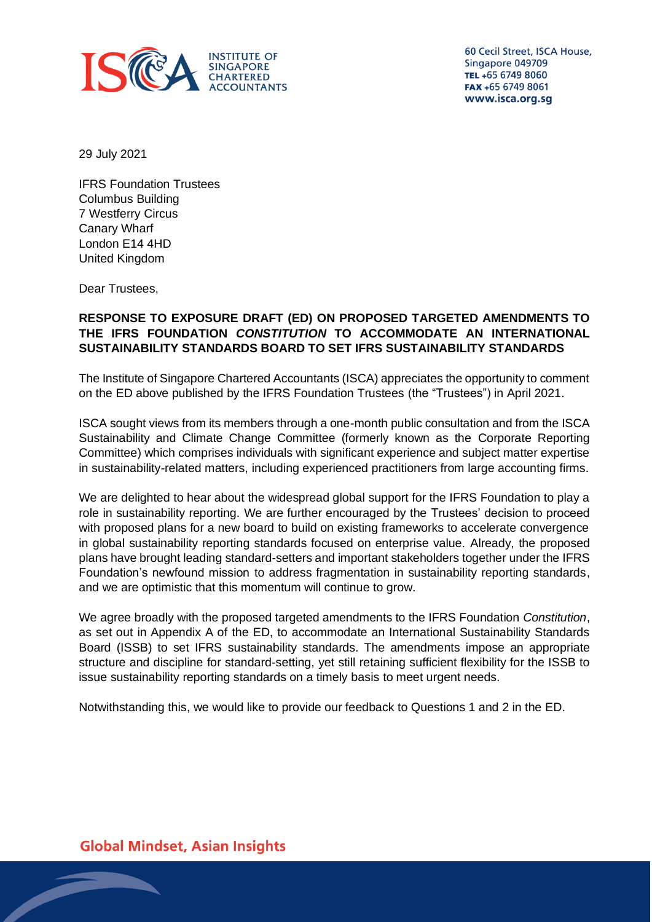

60 Cecil Street, ISCA House, Singapore 049709 TEL +65 6749 8060 FAX +65 6749 8061 www.isca.org.sg

29 July 2021

IFRS Foundation Trustees Columbus Building 7 Westferry Circus Canary Wharf London E14 4HD United Kingdom

Dear Trustees,

# **RESPONSE TO EXPOSURE DRAFT (ED) ON PROPOSED TARGETED AMENDMENTS TO THE IFRS FOUNDATION** *CONSTITUTION* **TO ACCOMMODATE AN INTERNATIONAL SUSTAINABILITY STANDARDS BOARD TO SET IFRS SUSTAINABILITY STANDARDS**

The Institute of Singapore Chartered Accountants (ISCA) appreciates the opportunity to comment on the ED above published by the IFRS Foundation Trustees (the "Trustees") in April 2021.

ISCA sought views from its members through a one-month public consultation and from the ISCA Sustainability and Climate Change Committee (formerly known as the Corporate Reporting Committee) which comprises individuals with significant experience and subject matter expertise in sustainability-related matters, including experienced practitioners from large accounting firms.

We are delighted to hear about the widespread global support for the IFRS Foundation to play a role in sustainability reporting. We are further encouraged by the Trustees' decision to proceed with proposed plans for a new board to build on existing frameworks to accelerate convergence in global sustainability reporting standards focused on enterprise value. Already, the proposed plans have brought leading standard-setters and important stakeholders together under the IFRS Foundation's newfound mission to address fragmentation in sustainability reporting standards, and we are optimistic that this momentum will continue to grow.

We agree broadly with the proposed targeted amendments to the IFRS Foundation *Constitution*, as set out in Appendix A of the ED, to accommodate an International Sustainability Standards Board (ISSB) to set IFRS sustainability standards. The amendments impose an appropriate structure and discipline for standard-setting, yet still retaining sufficient flexibility for the ISSB to issue sustainability reporting standards on a timely basis to meet urgent needs.

Notwithstanding this, we would like to provide our feedback to Questions 1 and 2 in the ED.

**Global Mindset, Asian Insights**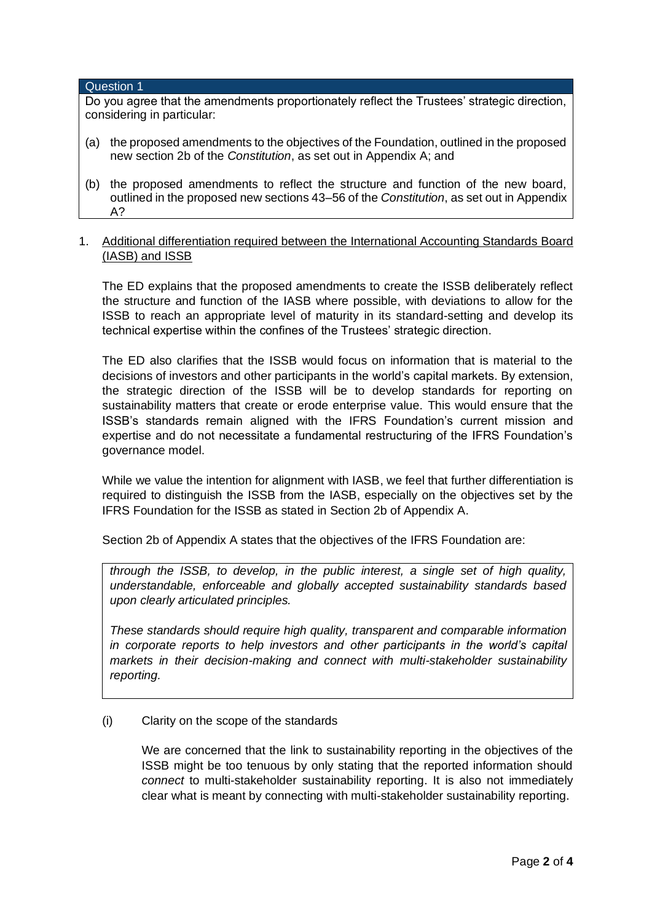#### Question 1

Do you agree that the amendments proportionately reflect the Trustees' strategic direction, considering in particular:

- (a) the proposed amendments to the objectives of the Foundation, outlined in the proposed new section 2b of the *Constitution*, as set out in Appendix A; and
- (b) the proposed amendments to reflect the structure and function of the new board, outlined in the proposed new sections 43–56 of the *Constitution*, as set out in Appendix A?

## 1. Additional differentiation required between the International Accounting Standards Board (IASB) and ISSB

The ED explains that the proposed amendments to create the ISSB deliberately reflect the structure and function of the IASB where possible, with deviations to allow for the ISSB to reach an appropriate level of maturity in its standard-setting and develop its technical expertise within the confines of the Trustees' strategic direction.

The ED also clarifies that the ISSB would focus on information that is material to the decisions of investors and other participants in the world's capital markets. By extension, the strategic direction of the ISSB will be to develop standards for reporting on sustainability matters that create or erode enterprise value. This would ensure that the ISSB's standards remain aligned with the IFRS Foundation's current mission and expertise and do not necessitate a fundamental restructuring of the IFRS Foundation's governance model.

While we value the intention for alignment with IASB, we feel that further differentiation is required to distinguish the ISSB from the IASB, especially on the objectives set by the IFRS Foundation for the ISSB as stated in Section 2b of Appendix A.

Section 2b of Appendix A states that the objectives of the IFRS Foundation are:

*through the ISSB, to develop, in the public interest, a single set of high quality, understandable, enforceable and globally accepted sustainability standards based upon clearly articulated principles.*

*These standards should require high quality, transparent and comparable information in corporate reports to help investors and other participants in the world's capital markets in their decision-making and connect with multi-stakeholder sustainability reporting.*

## (i) Clarity on the scope of the standards

We are concerned that the link to sustainability reporting in the objectives of the ISSB might be too tenuous by only stating that the reported information should *connect* to multi-stakeholder sustainability reporting. It is also not immediately clear what is meant by connecting with multi-stakeholder sustainability reporting.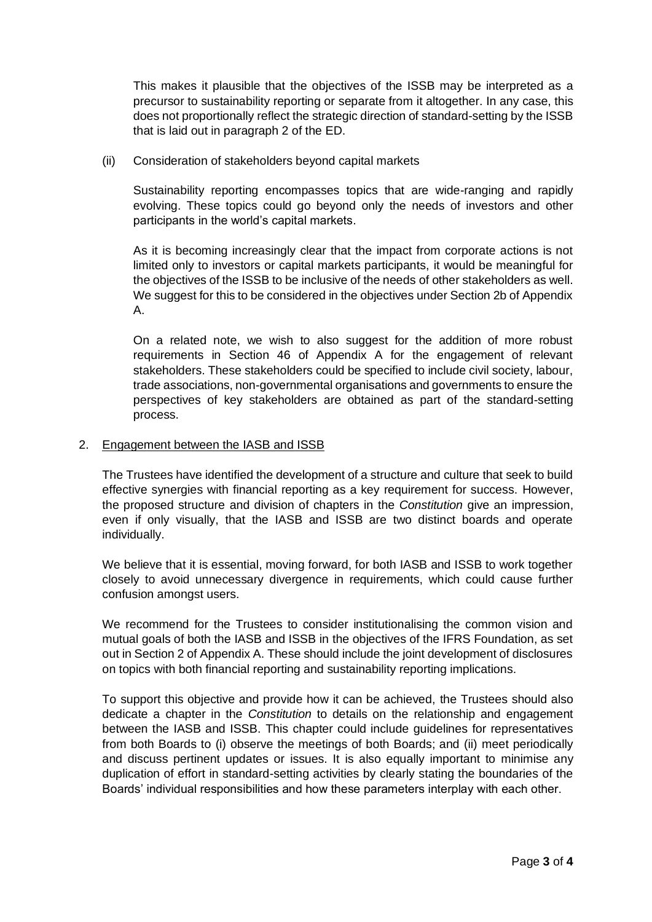This makes it plausible that the objectives of the ISSB may be interpreted as a precursor to sustainability reporting or separate from it altogether. In any case, this does not proportionally reflect the strategic direction of standard-setting by the ISSB that is laid out in paragraph 2 of the ED.

(ii) Consideration of stakeholders beyond capital markets

Sustainability reporting encompasses topics that are wide-ranging and rapidly evolving. These topics could go beyond only the needs of investors and other participants in the world's capital markets.

As it is becoming increasingly clear that the impact from corporate actions is not limited only to investors or capital markets participants, it would be meaningful for the objectives of the ISSB to be inclusive of the needs of other stakeholders as well. We suggest for this to be considered in the objectives under Section 2b of Appendix A.

On a related note, we wish to also suggest for the addition of more robust requirements in Section 46 of Appendix A for the engagement of relevant stakeholders. These stakeholders could be specified to include civil society, labour, trade associations, non-governmental organisations and governments to ensure the perspectives of key stakeholders are obtained as part of the standard-setting process.

## 2. Engagement between the IASB and ISSB

The Trustees have identified the development of a structure and culture that seek to build effective synergies with financial reporting as a key requirement for success. However, the proposed structure and division of chapters in the *Constitution* give an impression, even if only visually, that the IASB and ISSB are two distinct boards and operate individually.

We believe that it is essential, moving forward, for both IASB and ISSB to work together closely to avoid unnecessary divergence in requirements, which could cause further confusion amongst users.

We recommend for the Trustees to consider institutionalising the common vision and mutual goals of both the IASB and ISSB in the objectives of the IFRS Foundation, as set out in Section 2 of Appendix A. These should include the joint development of disclosures on topics with both financial reporting and sustainability reporting implications.

To support this objective and provide how it can be achieved, the Trustees should also dedicate a chapter in the *Constitution* to details on the relationship and engagement between the IASB and ISSB. This chapter could include guidelines for representatives from both Boards to (i) observe the meetings of both Boards; and (ii) meet periodically and discuss pertinent updates or issues. It is also equally important to minimise any duplication of effort in standard-setting activities by clearly stating the boundaries of the Boards' individual responsibilities and how these parameters interplay with each other.